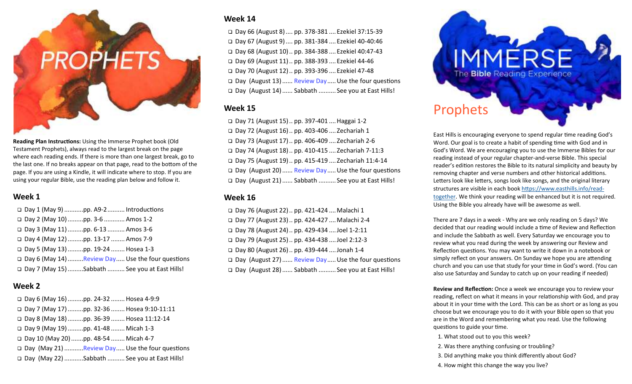# **PROPHETS**

**Reading Plan Instructions:** Using the Immerse Prophet book (Old Testament Prophets), always read to the largest break on the page where each reading ends. If there is more than one largest break, go to the last one. If no breaks appear on that page, read to the bottom of the page. If you are using a Kindle, it will indicate where to stop. If you are using your regular Bible, use the reading plan below and follow it.

# **Week 1**

| □ Day 1 (May 9) pp. A9-2  Introductions          |                                                     |
|--------------------------------------------------|-----------------------------------------------------|
| □ Day 2 (May 10) pp. 3-6  Amos 1-2               |                                                     |
| □ Day 3 (May 11) pp. 6-13  Amos 3-6              |                                                     |
| □ Day 4 (May 12) pp. 13-17  Amos 7-9             |                                                     |
| □ Day 5 (May 13) pp. 19-24  Hosea 1-3            |                                                     |
|                                                  | □ Day 6 (May 14) Review Day  Use the four questions |
| □ Day 7 (May 15) Sabbath  See you at East Hills! |                                                     |

# **Week 2**

| □ Day 6 (May 16) pp. 24-32  Hosea 4-9:9        |                                                  |
|------------------------------------------------|--------------------------------------------------|
| Day 7 (May 17) pp. 32-36  Hosea 9:10-11:11     |                                                  |
| □ Day 8 (May 18) pp. 36-39  Hosea 11:12-14     |                                                  |
| □ Day 9 (May 19) pp. 41-48  Micah 1-3          |                                                  |
| □ Day 10 (May 20) pp. 48-54  Micah 4-7         |                                                  |
|                                                | □ Day (May 21) Review Day Use the four questions |
| □ Day (May 22) Sabbath  See you at East Hills! |                                                  |

# **Week 14**

 Day 66 (August 8) .... pp. 378-381 .... Ezekiel 37:15-39 Day 67 (August 9) .... pp. 381-384 .... Ezekiel 40-40:46 Day 68 (August 10) .. pp. 384-388 .... Ezekiel 40:47-43 Day 69 (August 11) .. pp. 388-393 .... Ezekiel 44-46 Day 70 (August 12) .. pp. 393-396 .... Ezekiel 47-48 □ Day (August 13) ...... Review Day ..... Use the four questions Day (August 14) ...... Sabbath .......... See you at East Hills!

# **Week 15**

 Day 71 (August 15) .. pp. 397-401 .... Haggai 1-2 Day 72 (August 16) .. pp. 403-406 .... Zechariah 1 Day 73 (August 17) .. pp. 406-409 .... Zechariah 2-6 Day 74 (August 18) .. pp. 410-415 .... Zechariah 7-11:3 Day 75 (August 19) .. pp. 415-419 .... Zechariah 11:4-14  $\Box$  Day (August 20) ...... Review Day ..... Use the four questions Day (August 21) ...... Sabbath .......... See you at East Hills!

# **Week 16**

 $\Box$  Day 76 (August 22) .. pp. 421-424 .... Malachi 1 Day 77 (August 23) .. pp. 424-427 .... Malachi 2-4 Day 78 (August 24) .. pp. 429-434 .... Joel 1-2:11 Day 79 (August 25) .. pp. 434-438 .... Joel 2:12-3 Day 80 (August 26) .. pp. 439-444 .... Jonah 1-4 □ Day (August 27) ...... Review Day ..... Use the four questions Day (August 28) ...... Sabbath .......... See you at East Hills!



East Hills is encouraging everyone to spend regular time reading God's Word. Our goal is to create a habit of spending time with God and in God's Word. We are encouraging you to use the Immerse Bibles for our reading instead of your regular chapter-and-verse Bible. This special reader's edition restores the Bible to its natural simplicity and beauty by removing chapter and verse numbers and other historical additions. Letters look like letters, songs look like songs, and the original literary structures are visible in each book https://www.easthills.info/readtogether. We think your reading will be enhanced but it is not required. Using the Bible you already have will be awesome as well.

There are 7 days in a week - Why are we only reading on 5 days? We decided that our reading would include a time of Review and Reflection and include the Sabbath as well. Every Saturday we encourage you to review what you read during the week by answering our Review and Reflection questions. You may want to write it down in a notebook or simply reflect on your answers. On Sunday we hope you are attending church and you can use that study for your time in God's word. (You can also use Saturday and Sunday to catch up on your reading if needed)

**Review and Reflection:** Once a week we encourage you to review your reading, reflect on what it means in your relationship with God, and pray about it in your time with the Lord. This can be as short or as long as you choose but we encourage you to do it with your Bible open so that you are in the Word and remembering what you read. Use the following questions to guide your time.

- 1. What stood out to you this week?
- 2. Was there anything confusing or troubling?
- 3. Did anything make you think differently about God?
- 4. How might this change the way you live?